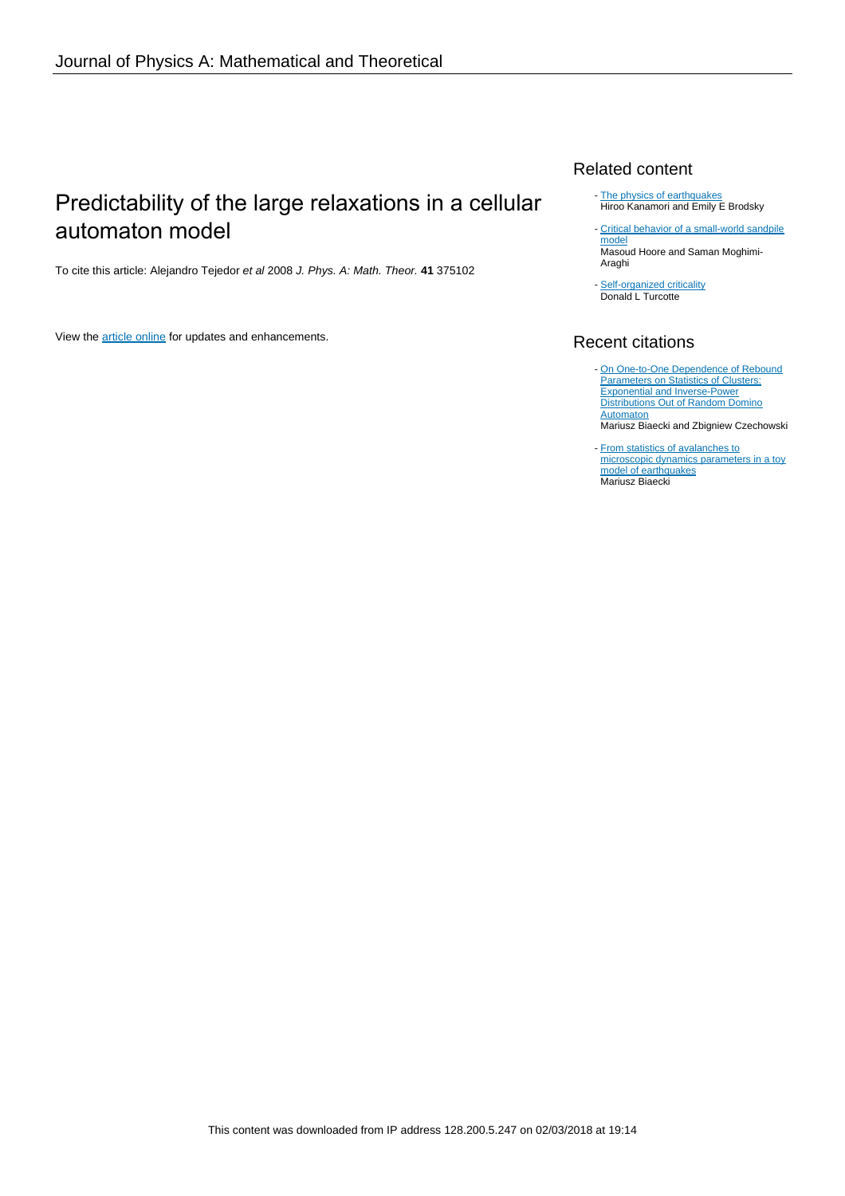# Predictability of the large relaxations in a cellular automaton model

To cite this article: Alejandro Tejedor et al 2008 J. Phys. A: Math. Theor. **41** 375102

View the [article online](https://doi.org/10.1088/1751-8113/41/37/375102) for updates and enhancements.

### Related content

- [The physics of earthquakes](http://iopscience.iop.org/article/10.1088/0034-4885/67/8/R03) Hiroo Kanamori and Emily E Brodsky
- [Critical behavior of a small-world sandpile](http://iopscience.iop.org/article/10.1088/1751-8113/46/19/195001) [model](http://iopscience.iop.org/article/10.1088/1751-8113/46/19/195001)
- **Masoud Hoore and Saman Moghimi-**Araghi
- [Self-organized criticality](http://iopscience.iop.org/article/10.1088/0034-4885/62/10/201) Donald L Turcotte

## Recent citations

- [On One-to-One Dependence of Rebound](http://dx.doi.org/10.7566/JPSJ.82.014003) **[Parameters on Statistics of Clusters:](http://dx.doi.org/10.7566/JPSJ.82.014003)** [Exponential and Inverse-Power](http://dx.doi.org/10.7566/JPSJ.82.014003) [Distributions Out of Random Domino](http://dx.doi.org/10.7566/JPSJ.82.014003) **[Automaton](http://dx.doi.org/10.7566/JPSJ.82.014003)** -
	- Mariusz Biaecki and Zbigniew Czechowski
- **[From statistics of avalanches to](http://dx.doi.org/10.2478/s11600-013-0111-7)** [microscopic dynamics parameters in a toy](http://dx.doi.org/10.2478/s11600-013-0111-7) [model of earthquakes](http://dx.doi.org/10.2478/s11600-013-0111-7) Mariusz Biaecki -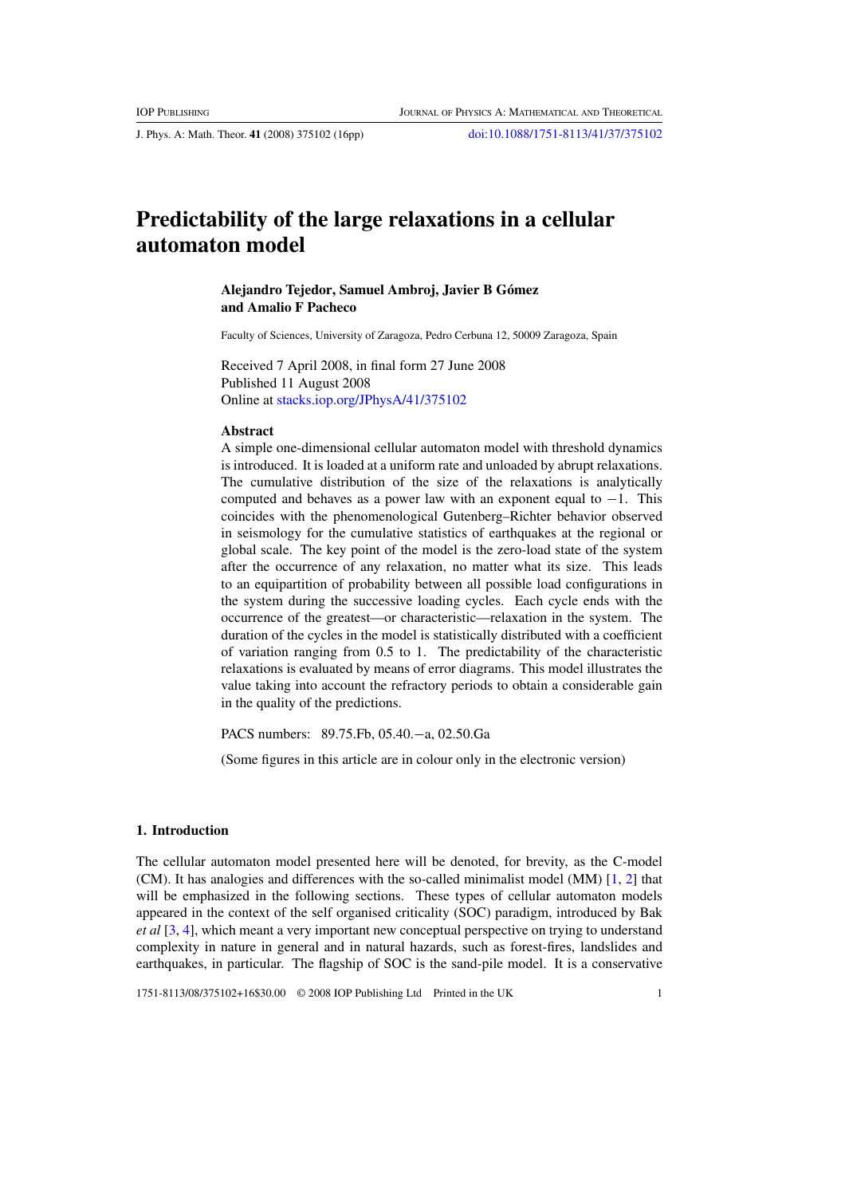J. Phys. A: Math. Theor. **41** (2008) 375102 (16pp) [doi:10.1088/1751-8113/41/37/375102](http://dx.doi.org/10.1088/1751-8113/41/37/375102)

## **Predictability of the large relaxations in a cellular automaton model**

#### **Alejandro Tejedor, Samuel Ambroj, Javier B Gomez ´ and Amalio F Pacheco**

Faculty of Sciences, University of Zaragoza, Pedro Cerbuna 12, 50009 Zaragoza, Spain

Received 7 April 2008, in final form 27 June 2008 Published 11 August 2008 Online at [stacks.iop.org/JPhysA/41/375102](http://stacks.iop.org/JPhysA/41/375102)

#### **Abstract**

A simple one-dimensional cellular automaton model with threshold dynamics is introduced. It is loaded at a uniform rate and unloaded by abrupt relaxations. The cumulative distribution of the size of the relaxations is analytically computed and behaves as a power law with an exponent equal to  $-1$ . This coincides with the phenomenological Gutenberg–Richter behavior observed in seismology for the cumulative statistics of earthquakes at the regional or global scale. The key point of the model is the zero-load state of the system after the occurrence of any relaxation, no matter what its size. This leads to an equipartition of probability between all possible load configurations in the system during the successive loading cycles. Each cycle ends with the occurrence of the greatest—or characteristic—relaxation in the system. The duration of the cycles in the model is statistically distributed with a coefficient of variation ranging from 0.5 to 1. The predictability of the characteristic relaxations is evaluated by means of error diagrams. This model illustrates the value taking into account the refractory periods to obtain a considerable gain in the quality of the predictions.

PACS numbers: 89.75.Fb, 05.40.−a, 02.50.Ga

(Some figures in this article are in colour only in the electronic version)

#### **1. Introduction**

The cellular automaton model presented here will be denoted, for brevity, as the C-model (CM). It has analogies and differences with the so-called minimalist model (MM)  $[1, 2]$  $[1, 2]$  $[1, 2]$  that will be emphasized in the following sections. These types of cellular automaton models appeared in the context of the self organised criticality (SOC) paradigm, introduced by Bak *et al* [\[3,](#page-16-0) [4\]](#page-16-0), which meant a very important new conceptual perspective on trying to understand complexity in nature in general and in natural hazards, such as forest-fires, landslides and earthquakes, in particular. The flagship of SOC is the sand-pile model. It is a conservative

1751-8113/08/375102+16\$30.00 © 2008 IOP Publishing Ltd Printed in the UK 1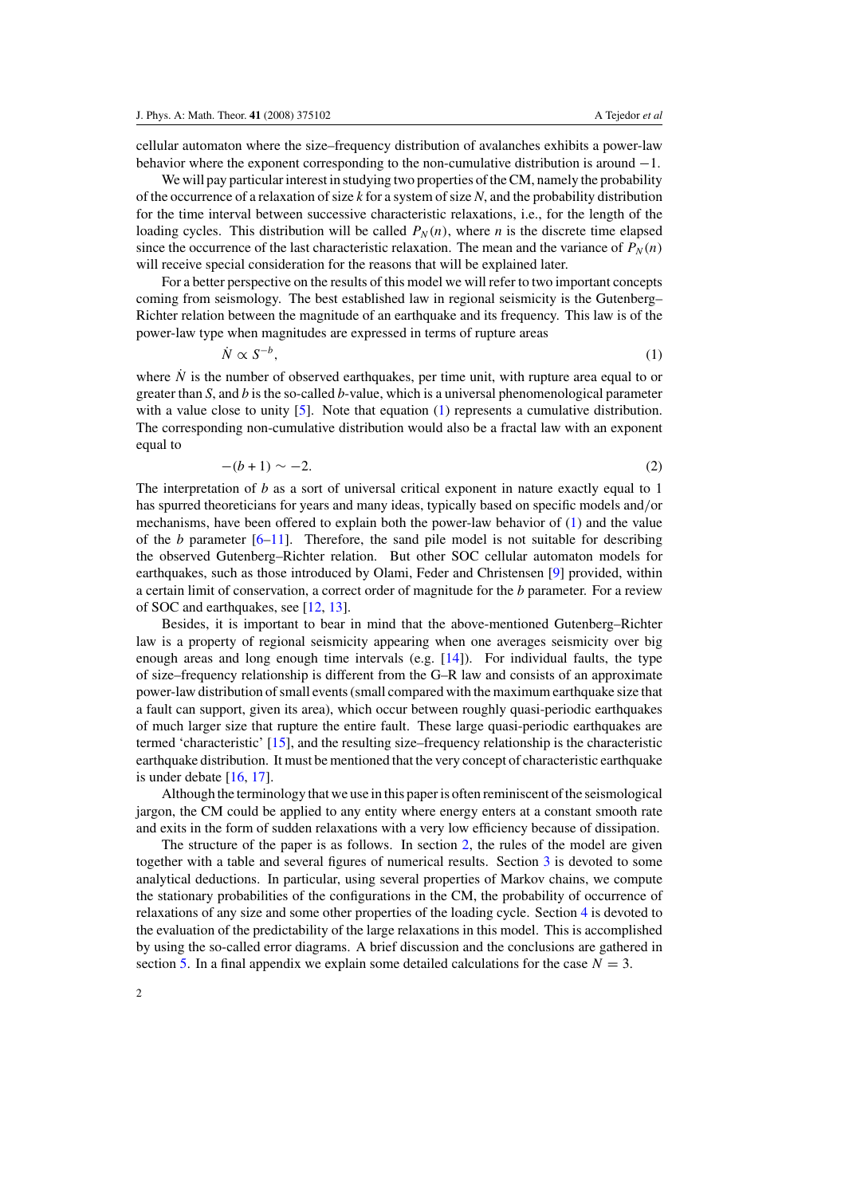cellular automaton where the size–frequency distribution of avalanches exhibits a power-law behavior where the exponent corresponding to the non-cumulative distribution is around −1.

We will pay particular interest in studying two properties of the CM, namely the probability of the occurrence of a relaxation of size *k* for a system of size *N*, and the probability distribution for the time interval between successive characteristic relaxations, i.e., for the length of the loading cycles. This distribution will be called  $P_N(n)$ , where *n* is the discrete time elapsed since the occurrence of the last characteristic relaxation. The mean and the variance of  $P_N(n)$ will receive special consideration for the reasons that will be explained later.

For a better perspective on the results of this model we will refer to two important concepts coming from seismology. The best established law in regional seismicity is the Gutenberg– Richter relation between the magnitude of an earthquake and its frequency. This law is of the power-law type when magnitudes are expressed in terms of rupture areas

 $\dot{N} \propto S^{-b}$ , (1)

where  $\dot{N}$  is the number of observed earthquakes, per time unit, with rupture area equal to or greater than *S*, and *b* is the so-called *b*-value, which is a universal phenomenological parameter with a value close to unity [\[5\]](#page-16-0). Note that equation (1) represents a cumulative distribution. The corresponding non-cumulative distribution would also be a fractal law with an exponent equal to

$$
-(b+1)\sim -2.\tag{2}
$$

The interpretation of *b* as a sort of universal critical exponent in nature exactly equal to 1 has spurred theoreticians for years and many ideas, typically based on specific models and*/*or mechanisms, have been offered to explain both the power-law behavior of (1) and the value of the  $b$  parameter  $[6-11]$ . Therefore, the sand pile model is not suitable for describing the observed Gutenberg–Richter relation. But other SOC cellular automaton models for earthquakes, such as those introduced by Olami, Feder and Christensen [\[9](#page-16-0)] provided, within a certain limit of conservation, a correct order of magnitude for the *b* parameter. For a review of SOC and earthquakes, see [\[12](#page-16-0), [13](#page-16-0)].

Besides, it is important to bear in mind that the above-mentioned Gutenberg–Richter law is a property of regional seismicity appearing when one averages seismicity over big enough areas and long enough time intervals (e.g. [\[14\]](#page-16-0)). For individual faults, the type of size–frequency relationship is different from the G–R law and consists of an approximate power-law distribution of small events (small compared with the maximum earthquake size that a fault can support, given its area), which occur between roughly quasi-periodic earthquakes of much larger size that rupture the entire fault. These large quasi-periodic earthquakes are termed 'characteristic' [\[15](#page-16-0)], and the resulting size–frequency relationship is the characteristic earthquake distribution. It must be mentioned that the very concept of characteristic earthquake is under debate [\[16](#page-16-0), [17\]](#page-16-0).

Although the terminology that we use in this paper is often reminiscent of the seismological jargon, the CM could be applied to any entity where energy enters at a constant smooth rate and exits in the form of sudden relaxations with a very low efficiency because of dissipation.

The structure of the paper is as follows. In section [2,](#page-3-0) the rules of the model are given together with a table and several figures of numerical results. Section [3](#page-5-0) is devoted to some analytical deductions. In particular, using several properties of Markov chains, we compute the stationary probabilities of the configurations in the CM, the probability of occurrence of relaxations of any size and some other properties of the loading cycle. Section [4](#page-9-0) is devoted to the evaluation of the predictability of the large relaxations in this model. This is accomplished by using the so-called error diagrams. A brief discussion and the conclusions are gathered in section [5.](#page-12-0) In a final appendix we explain some detailed calculations for the case  $N = 3$ .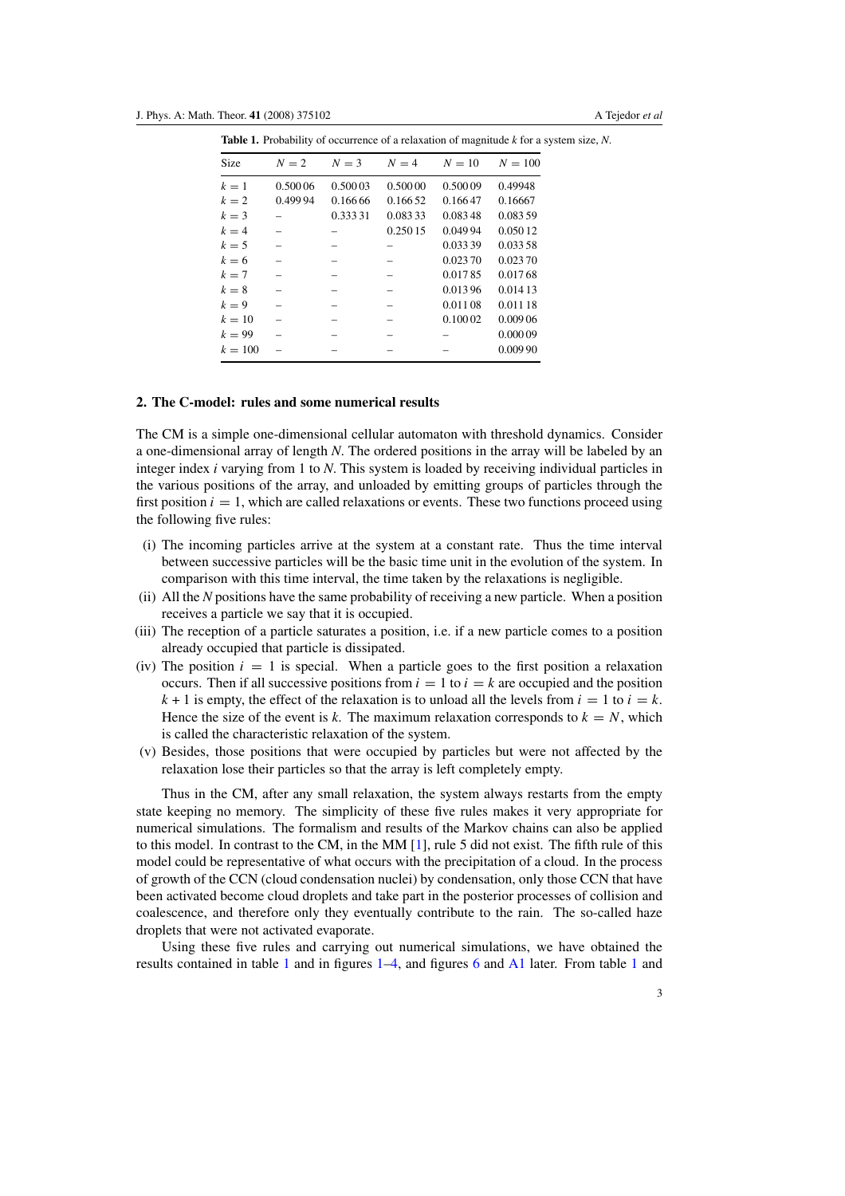| <b>ROLUME</b> 11 Troughly of occurrence of a rendmitted of magnitude <i>k</i> for a system |         |         |         |          |           |
|--------------------------------------------------------------------------------------------|---------|---------|---------|----------|-----------|
| <b>Size</b>                                                                                | $N=2$   | $N=3$   | $N=4$   | $N=10$   | $N = 100$ |
| $k=1$                                                                                      | 0.50006 | 0.50003 | 0.50000 | 0.50009  | 0.49948   |
| $k=2$                                                                                      | 0.49994 | 0.16666 | 0.16652 | 0.16647  | 0.16667   |
| $k=3$                                                                                      |         | 0.33331 | 0.08333 | 0.08348  | 0.08359   |
| $k=4$                                                                                      |         |         | 0.25015 | 0.04994  | 0.05012   |
| $k=5$                                                                                      |         |         |         | 0.033 39 | 0.033 58  |
| $k=6$                                                                                      |         |         |         | 0.02370  | 0.02370   |
| $k=7$                                                                                      |         |         |         | 0.01785  | 0.01768   |
| $k=8$                                                                                      |         |         |         | 0.01396  | 0.014 13  |
| $k=9$                                                                                      |         |         |         | 0.011 08 | 0.011 18  |
| $k=10$                                                                                     |         |         |         | 0.10002  | 0.009 06  |
| $k = 99$                                                                                   |         |         |         |          | 0.00009   |
| $k = 100$                                                                                  |         |         |         |          | 0.00990   |
|                                                                                            |         |         |         |          |           |

<span id="page-3-0"></span>**Table 1.** Probability of occurrence of a relaxation of magnitude *k* for a system size, *N*.

#### **2. The C-model: rules and some numerical results**

The CM is a simple one-dimensional cellular automaton with threshold dynamics. Consider a one-dimensional array of length *N*. The ordered positions in the array will be labeled by an integer index *i* varying from 1 to *N*. This system is loaded by receiving individual particles in the various positions of the array, and unloaded by emitting groups of particles through the first position  $i = 1$ , which are called relaxations or events. These two functions proceed using the following five rules:

- (i) The incoming particles arrive at the system at a constant rate. Thus the time interval between successive particles will be the basic time unit in the evolution of the system. In comparison with this time interval, the time taken by the relaxations is negligible.
- (ii) All the *N* positions have the same probability of receiving a new particle. When a position receives a particle we say that it is occupied.
- (iii) The reception of a particle saturates a position, i.e. if a new particle comes to a position already occupied that particle is dissipated.
- (iv) The position  $i = 1$  is special. When a particle goes to the first position a relaxation occurs. Then if all successive positions from  $i = 1$  to  $i = k$  are occupied and the position  $k + 1$  is empty, the effect of the relaxation is to unload all the levels from  $i = 1$  to  $i = k$ . Hence the size of the event is *k*. The maximum relaxation corresponds to  $k = N$ , which is called the characteristic relaxation of the system.
- (v) Besides, those positions that were occupied by particles but were not affected by the relaxation lose their particles so that the array is left completely empty.

Thus in the CM, after any small relaxation, the system always restarts from the empty state keeping no memory. The simplicity of these five rules makes it very appropriate for numerical simulations. The formalism and results of the Markov chains can also be applied to this model. In contrast to the CM, in the MM [\[1\]](#page-16-0), rule 5 did not exist. The fifth rule of this model could be representative of what occurs with the precipitation of a cloud. In the process of growth of the CCN (cloud condensation nuclei) by condensation, only those CCN that have been activated become cloud droplets and take part in the posterior processes of collision and coalescence, and therefore only they eventually contribute to the rain. The so-called haze droplets that were not activated evaporate.

Using these five rules and carrying out numerical simulations, we have obtained the results contained in table 1 and in figures [1](#page-4-0)[–4,](#page-7-0) and figures [6](#page-11-0) and [A1](#page-14-0) later. From table 1 and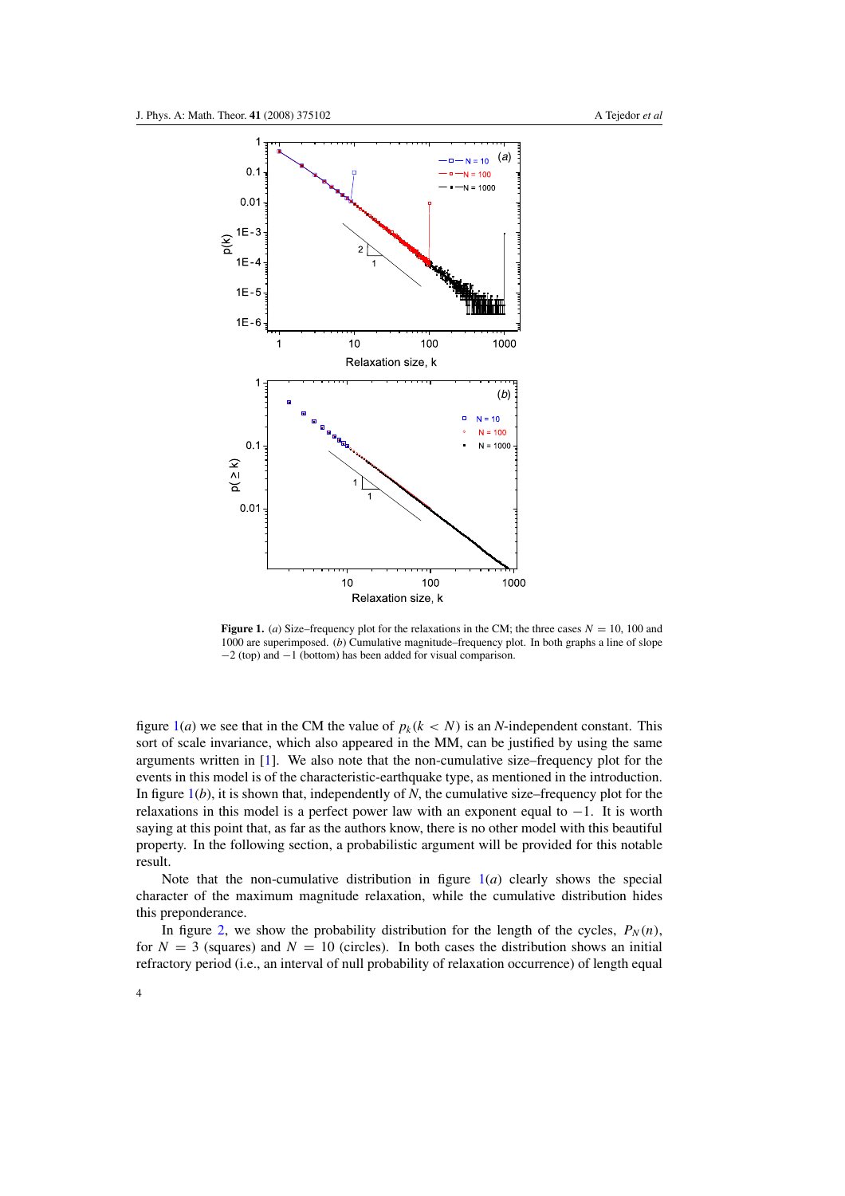<span id="page-4-0"></span>

**Figure 1.** (*a*) Size–frequency plot for the relaxations in the CM; the three cases  $N = 10$ , 100 and 1000 are superimposed. (*b*) Cumulative magnitude–frequency plot. In both graphs a line of slope −2 (top) and −1 (bottom) has been added for visual comparison.

figure  $1(a)$  we see that in the CM the value of  $p_k(k < N)$  is an *N*-independent constant. This sort of scale invariance, which also appeared in the MM, can be justified by using the same arguments written in  $[1]$  $[1]$ . We also note that the non-cumulative size–frequency plot for the events in this model is of the characteristic-earthquake type, as mentioned in the introduction. In figure  $1(b)$ , it is shown that, independently of *N*, the cumulative size–frequency plot for the relaxations in this model is a perfect power law with an exponent equal to  $-1$ . It is worth saying at this point that, as far as the authors know, there is no other model with this beautiful property. In the following section, a probabilistic argument will be provided for this notable result.

Note that the non-cumulative distribution in figure  $1(a)$  clearly shows the special character of the maximum magnitude relaxation, while the cumulative distribution hides this preponderance.

In figure [2,](#page-5-0) we show the probability distribution for the length of the cycles,  $P_N(n)$ , for  $N = 3$  (squares) and  $N = 10$  (circles). In both cases the distribution shows an initial refractory period (i.e., an interval of null probability of relaxation occurrence) of length equal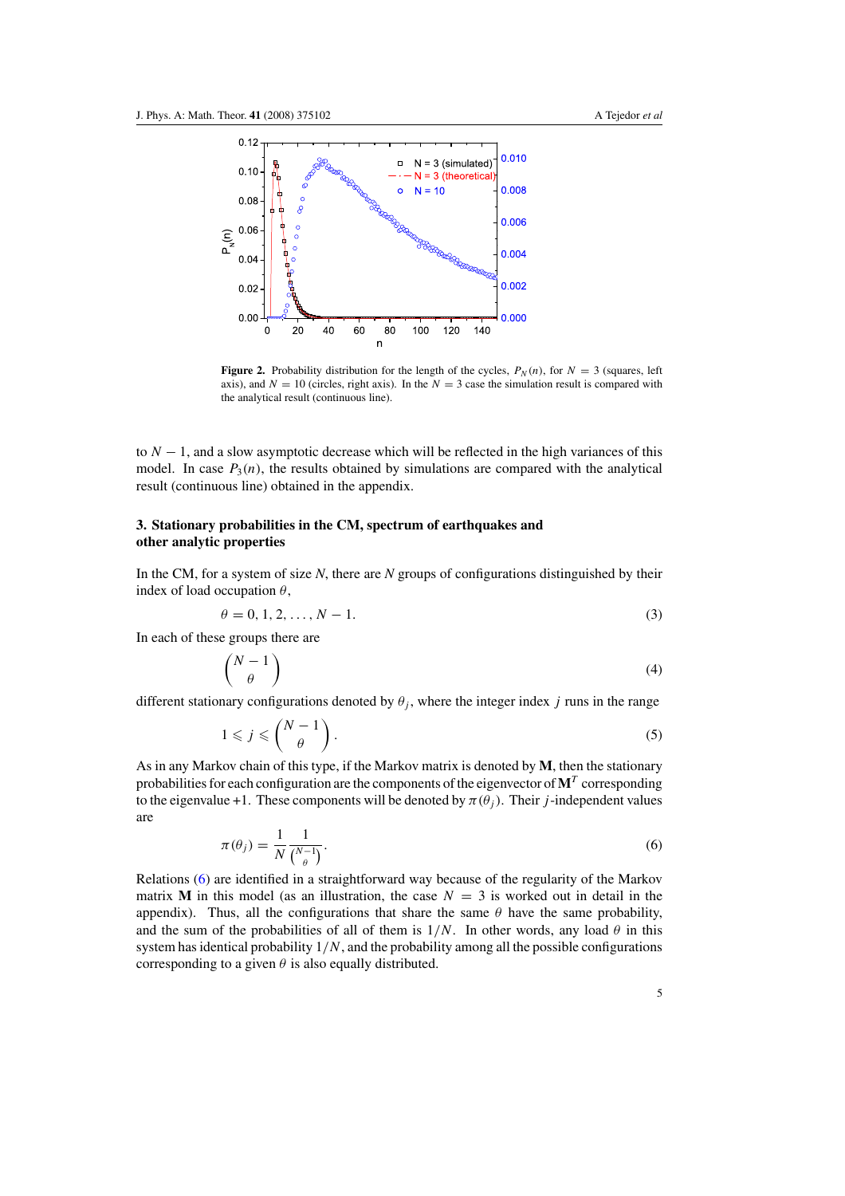<span id="page-5-0"></span>

**Figure 2.** Probability distribution for the length of the cycles,  $P_N(n)$ , for  $N = 3$  (squares, left axis), and  $N = 10$  (circles, right axis). In the  $N = 3$  case the simulation result is compared with the analytical result (continuous line).

to *N* − 1, and a slow asymptotic decrease which will be reflected in the high variances of this model. In case  $P_3(n)$ , the results obtained by simulations are compared with the analytical result (continuous line) obtained in the appendix.

### **3. Stationary probabilities in the CM, spectrum of earthquakes and other analytic properties**

In the CM, for a system of size *N*, there are *N* groups of configurations distinguished by their index of load occupation *θ*,

$$
\theta = 0, 1, 2, \dots, N - 1. \tag{3}
$$

In each of these groups there are

$$
\binom{N-1}{\theta} \tag{4}
$$

different stationary configurations denoted by  $\theta_i$ , where the integer index *j* runs in the range

$$
1 \leqslant j \leqslant \binom{N-1}{\theta} \,. \tag{5}
$$

As in any Markov chain of this type, if the Markov matrix is denoted by **M**, then the stationary probabilities for each configuration are the components of the eigenvector of  $M<sup>T</sup>$  corresponding to the eigenvalue +1. These components will be denoted by  $\pi(\theta_i)$ . Their *j*-independent values are

$$
\pi(\theta_j) = \frac{1}{N} \frac{1}{\binom{N-1}{\theta}}.
$$
\n<sup>(6)</sup>

Relations (6) are identified in a straightforward way because of the regularity of the Markov matrix **M** in this model (as an illustration, the case  $N = 3$  is worked out in detail in the appendix). Thus, all the configurations that share the same  $\theta$  have the same probability, and the sum of the probabilities of all of them is  $1/N$ . In other words, any load  $\theta$  in this system has identical probability  $1/N$ , and the probability among all the possible configurations corresponding to a given  $\theta$  is also equally distributed.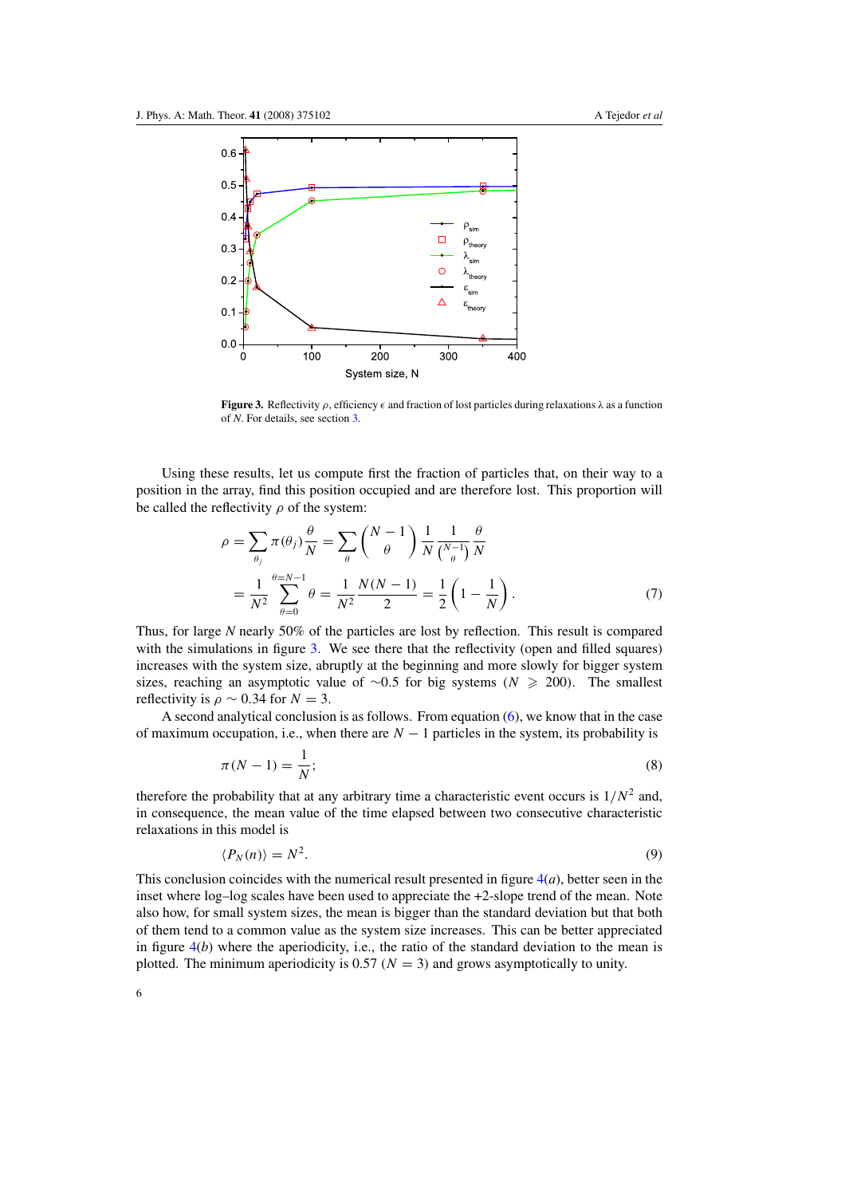<span id="page-6-0"></span>

**Figure 3.** Reflectivity  $\rho$ , efficiency  $\epsilon$  and fraction of lost particles during relaxations  $\lambda$  as a function of *N*. For details, see section [3.](#page-5-0)

Using these results, let us compute first the fraction of particles that, on their way to a position in the array, find this position occupied and are therefore lost. This proportion will be called the reflectivity  $\rho$  of the system:

$$
\rho = \sum_{\theta_j} \pi(\theta_j) \frac{\theta}{N} = \sum_{\theta} {N-1 \choose \theta} \frac{1}{N} \frac{1}{N} \frac{\theta}{\binom{N-1}{\theta}} \frac{\theta}{N}
$$
  
= 
$$
\frac{1}{N^2} \sum_{\theta=0}^{\theta=N-1} \theta = \frac{1}{N^2} \frac{N(N-1)}{2} = \frac{1}{2} \left( 1 - \frac{1}{N} \right).
$$
 (7)

Thus, for large *N* nearly 50% of the particles are lost by reflection. This result is compared with the simulations in figure 3. We see there that the reflectivity (open and filled squares) increases with the system size, abruptly at the beginning and more slowly for bigger system sizes, reaching an asymptotic value of  $\sim 0.5$  for big systems *(N*  $\geq 200$ ). The smallest reflectivity is  $\rho \sim 0.34$  for  $N = 3$ .

A second analytical conclusion is as follows. From equation  $(6)$ , we know that in the case of maximum occupation, i.e., when there are  $N-1$  particles in the system, its probability is

$$
\pi(N-1) = \frac{1}{N};\tag{8}
$$

therefore the probability that at any arbitrary time a characteristic event occurs is  $1/N^2$  and, in consequence, the mean value of the time elapsed between two consecutive characteristic relaxations in this model is

$$
\langle P_N(n) \rangle = N^2. \tag{9}
$$

This conclusion coincides with the numerical result presented in figure  $4(a)$  $4(a)$ , better seen in the inset where log–log scales have been used to appreciate the +2-slope trend of the mean. Note also how, for small system sizes, the mean is bigger than the standard deviation but that both of them tend to a common value as the system size increases. This can be better appreciated in figure  $4(b)$  $4(b)$  where the aperiodicity, i.e., the ratio of the standard deviation to the mean is plotted. The minimum aperiodicity is 0.57  $(N = 3)$  and grows asymptotically to unity.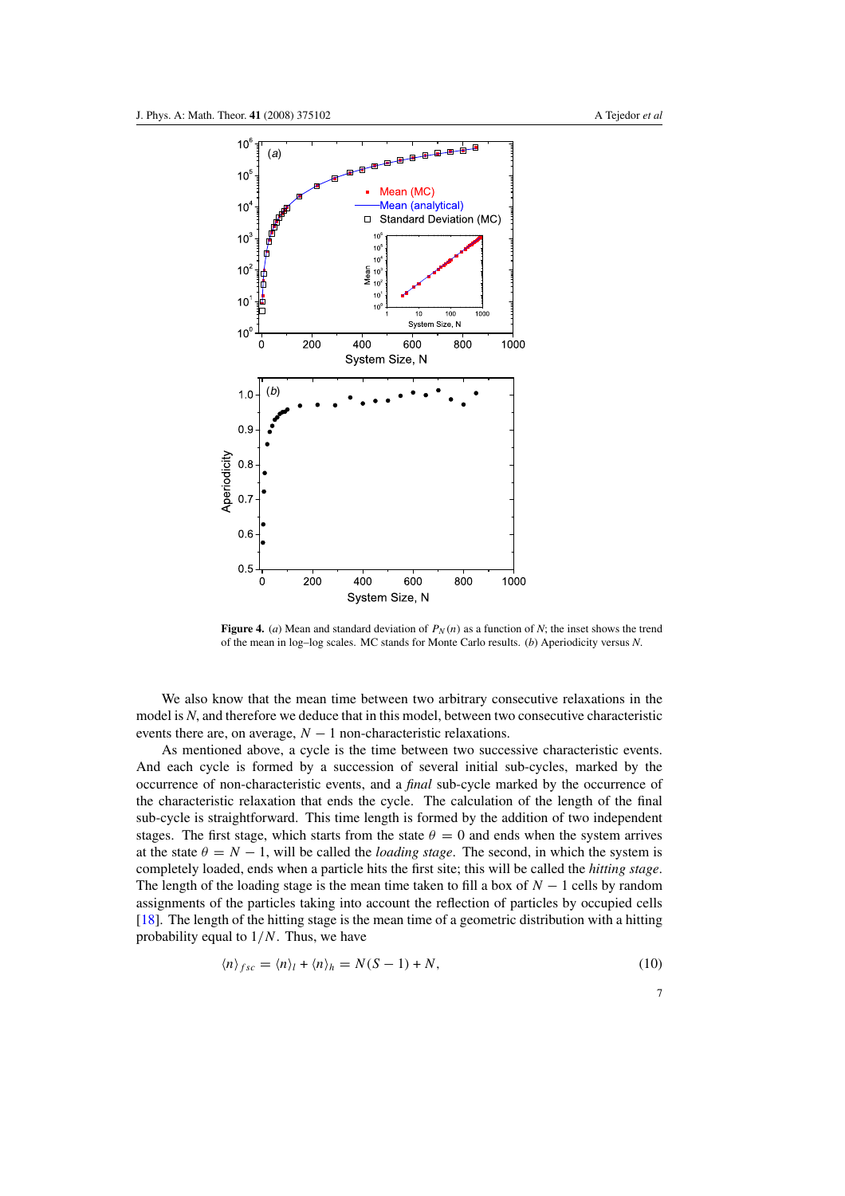<span id="page-7-0"></span>

**Figure 4.** (*a*) Mean and standard deviation of  $P_N(n)$  as a function of *N*; the inset shows the trend of the mean in log–log scales. MC stands for Monte Carlo results. (*b*) Aperiodicity versus *N*.

We also know that the mean time between two arbitrary consecutive relaxations in the model is *N*, and therefore we deduce that in this model, between two consecutive characteristic events there are, on average,  $N - 1$  non-characteristic relaxations.

As mentioned above, a cycle is the time between two successive characteristic events. And each cycle is formed by a succession of several initial sub-cycles, marked by the occurrence of non-characteristic events, and a *final* sub-cycle marked by the occurrence of the characteristic relaxation that ends the cycle. The calculation of the length of the final sub-cycle is straightforward. This time length is formed by the addition of two independent stages. The first stage, which starts from the state  $\theta = 0$  and ends when the system arrives at the state  $\theta = N - 1$ , will be called the *loading stage*. The second, in which the system is completely loaded, ends when a particle hits the first site; this will be called the *hitting stage*. The length of the loading stage is the mean time taken to fill a box of  $N - 1$  cells by random assignments of the particles taking into account the reflection of particles by occupied cells [\[18](#page-16-0)]. The length of the hitting stage is the mean time of a geometric distribution with a hitting probability equal to 1*/N*. Thus, we have

$$
\langle n \rangle_{fsc} = \langle n \rangle_l + \langle n \rangle_h = N(S-1) + N,\tag{10}
$$

7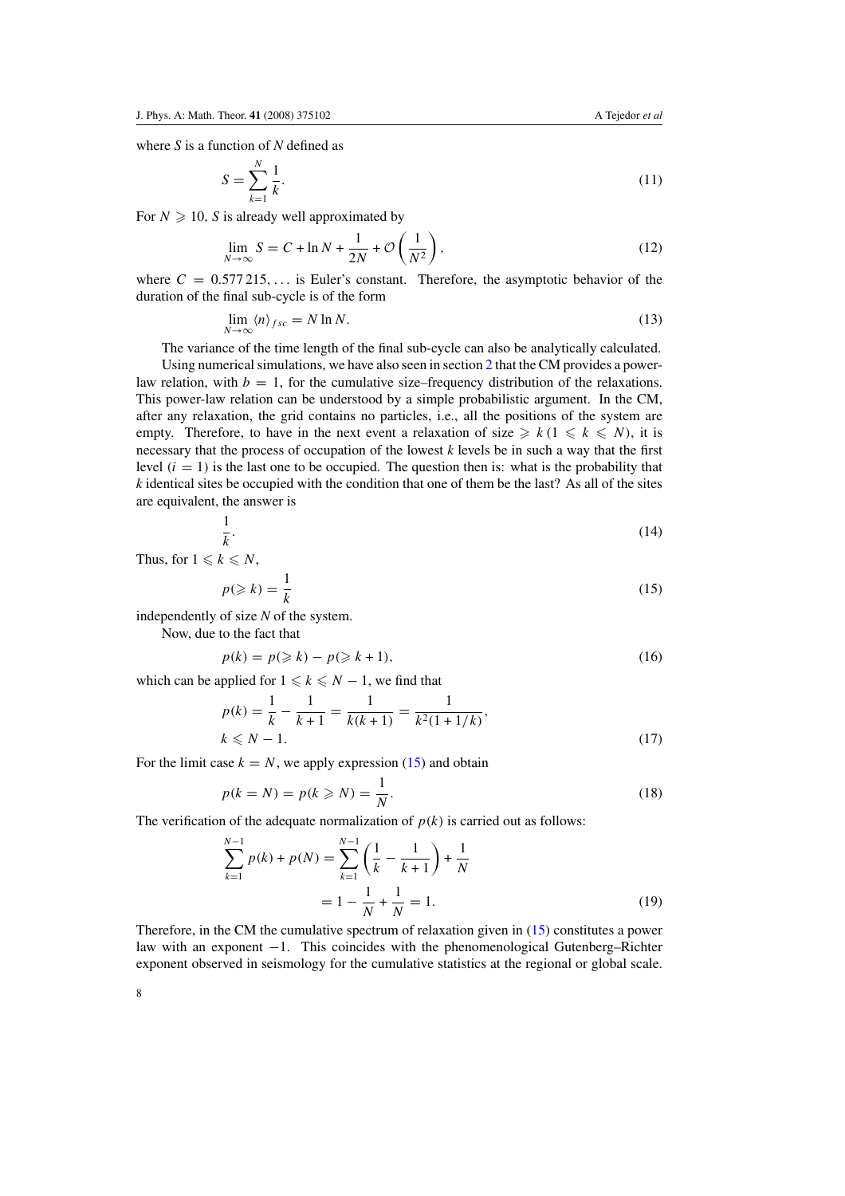$$
S = \sum_{k=1}^{N} \frac{1}{k}.
$$
\n(11)

<span id="page-8-0"></span>For  $N \geqslant 10$ , S is already well approximated by

$$
\lim_{N \to \infty} S = C + \ln N + \frac{1}{2N} + \mathcal{O}\left(\frac{1}{N^2}\right),\tag{12}
$$

where  $C = 0.577215,...$  is Euler's constant. Therefore, the asymptotic behavior of the duration of the final sub-cycle is of the form

$$
\lim_{N \to \infty} \langle n \rangle_{fsc} = N \ln N. \tag{13}
$$

The variance of the time length of the final sub-cycle can also be analytically calculated. Using numerical simulations, we have also seen in section [2](#page-3-0) that the CM provides a powerlaw relation, with  $b = 1$ , for the cumulative size–frequency distribution of the relaxations. This power-law relation can be understood by a simple probabilistic argument. In the CM, after any relaxation, the grid contains no particles, i.e., all the positions of the system are empty. Therefore, to have in the next event a relaxation of size  $\geq k$  ( $1 \leq k \leq N$ ), it is necessary that the process of occupation of the lowest *k* levels be in such a way that the first level  $(i = 1)$  is the last one to be occupied. The question then is: what is the probability that *k* identical sites be occupied with the condition that one of them be the last? As all of the sites are equivalent, the answer is

$$
\frac{1}{k}.\tag{14}
$$

Thus, for  $1 \leq k \leq N$ ,

$$
p(\geqslant k) = \frac{1}{k} \tag{15}
$$

independently of size *N* of the system.

Now, due to the fact that

$$
p(k) = p(\ge k) - p(\ge k+1),\tag{16}
$$

which can be applied for  $1 \leq k \leq N-1$ , we find that

$$
p(k) = \frac{1}{k} - \frac{1}{k+1} = \frac{1}{k(k+1)} = \frac{1}{k^2(1+1/k)},
$$
  
\n $k \le N - 1.$  (17)

For the limit case  $k = N$ , we apply expression (15) and obtain

$$
p(k = N) = p(k \geqslant N) = \frac{1}{N}.
$$
\n<sup>(18)</sup>

The verification of the adequate normalization of  $p(k)$  is carried out as follows:

$$
\sum_{k=1}^{N-1} p(k) + p(N) = \sum_{k=1}^{N-1} \left( \frac{1}{k} - \frac{1}{k+1} \right) + \frac{1}{N}
$$

$$
= 1 - \frac{1}{N} + \frac{1}{N} = 1.
$$
 (19)

Therefore, in the CM the cumulative spectrum of relaxation given in (15) constitutes a power law with an exponent −1. This coincides with the phenomenological Gutenberg–Richter exponent observed in seismology for the cumulative statistics at the regional or global scale.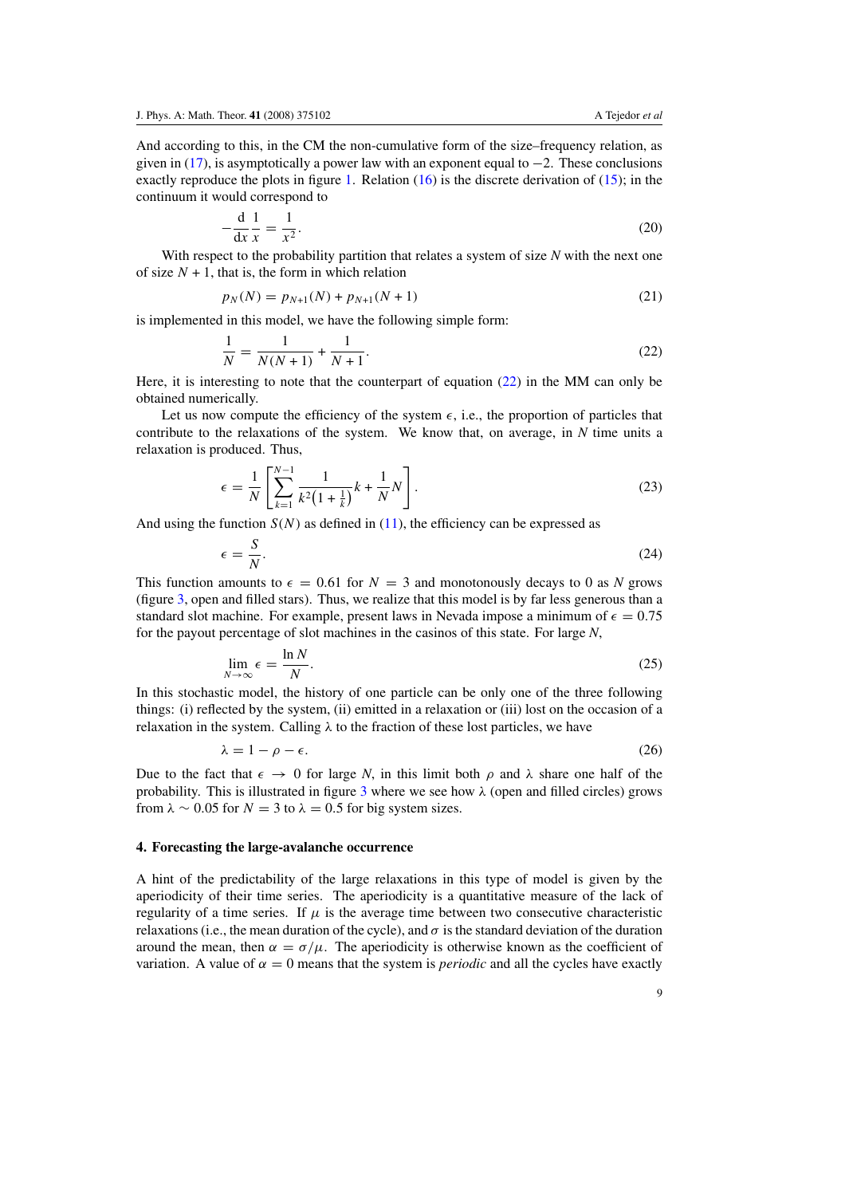<span id="page-9-0"></span>And according to this, in the CM the non-cumulative form of the size–frequency relation, as given in  $(17)$ , is asymptotically a power law with an exponent equal to  $-2$ . These conclusions exactly reproduce the plots in figure [1.](#page-4-0) Relation  $(16)$  is the discrete derivation of  $(15)$ ; in the continuum it would correspond to

$$
-\frac{\mathrm{d}}{\mathrm{d}x}\frac{1}{x} = \frac{1}{x^2}.\tag{20}
$$

With respect to the probability partition that relates a system of size N with the next one of size  $N + 1$ , that is, the form in which relation

$$
p_N(N) = p_{N+1}(N) + p_{N+1}(N+1)
$$
\n(21)

is implemented in this model, we have the following simple form:

$$
\frac{1}{N} = \frac{1}{N(N+1)} + \frac{1}{N+1}.\tag{22}
$$

Here, it is interesting to note that the counterpart of equation (22) in the MM can only be obtained numerically.

Let us now compute the efficiency of the system  $\epsilon$ , i.e., the proportion of particles that contribute to the relaxations of the system. We know that, on average, in *N* time units a relaxation is produced. Thus,

$$
\epsilon = \frac{1}{N} \left[ \sum_{k=1}^{N-1} \frac{1}{k^2 \left( 1 + \frac{1}{k} \right)} k + \frac{1}{N} N \right].
$$
\n(23)

And using the function  $S(N)$  as defined in [\(11\)](#page-8-0), the efficiency can be expressed as

$$
\epsilon = \frac{S}{N}.\tag{24}
$$

This function amounts to  $\epsilon = 0.61$  for  $N = 3$  and monotonously decays to 0 as N grows (figure [3,](#page-6-0) open and filled stars). Thus, we realize that this model is by far less generous than a standard slot machine. For example, present laws in Nevada impose a minimum of  $\epsilon = 0.75$ for the payout percentage of slot machines in the casinos of this state. For large *N*,

$$
\lim_{N \to \infty} \epsilon = \frac{\ln N}{N}.
$$
\n(25)

In this stochastic model, the history of one particle can be only one of the three following things: (i) reflected by the system, (ii) emitted in a relaxation or (iii) lost on the occasion of a relaxation in the system. Calling *λ* to the fraction of these lost particles, we have

$$
\lambda = 1 - \rho - \epsilon. \tag{26}
$$

Due to the fact that  $\epsilon \to 0$  for large *N*, in this limit both *ρ* and  $\lambda$  share one half of the probability. This is illustrated in figure [3](#page-6-0) where we see how  $\lambda$  (open and filled circles) grows from  $\lambda \sim 0.05$  for  $N = 3$  to  $\lambda = 0.5$  for big system sizes.

#### **4. Forecasting the large-avalanche occurrence**

A hint of the predictability of the large relaxations in this type of model is given by the aperiodicity of their time series. The aperiodicity is a quantitative measure of the lack of regularity of a time series. If  $\mu$  is the average time between two consecutive characteristic relaxations (i.e., the mean duration of the cycle), and  $\sigma$  is the standard deviation of the duration around the mean, then  $\alpha = \sigma/\mu$ . The aperiodicity is otherwise known as the coefficient of variation. A value of  $\alpha = 0$  means that the system is *periodic* and all the cycles have exactly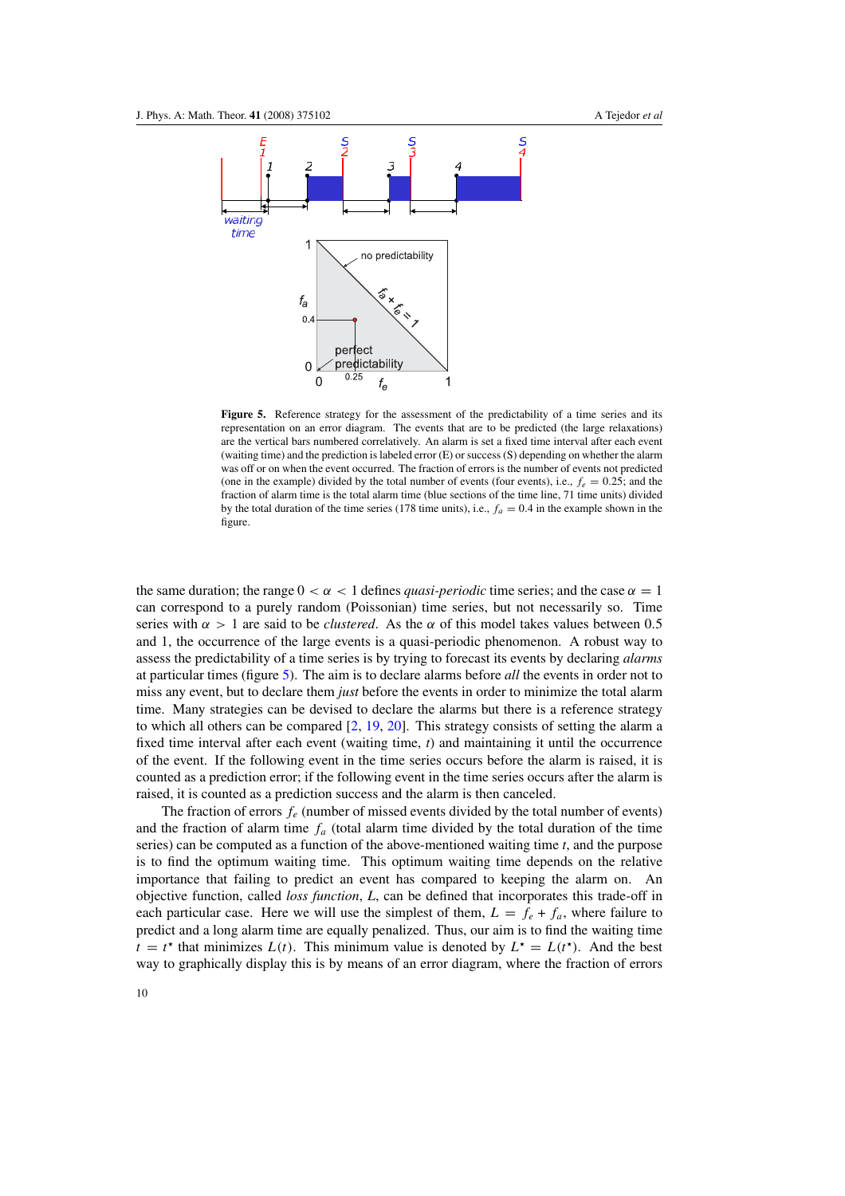<span id="page-10-0"></span>

**Figure 5.** Reference strategy for the assessment of the predictability of a time series and its representation on an error diagram. The events that are to be predicted (the large relaxations) are the vertical bars numbered correlatively. An alarm is set a fixed time interval after each event (waiting time) and the prediction is labeled error (E) or success (S) depending on whether the alarm was off or on when the event occurred. The fraction of errors is the number of events not predicted (one in the example) divided by the total number of events (four events), i.e.,  $f_e = 0.25$ ; and the fraction of alarm time is the total alarm time (blue sections of the time line, 71 time units) divided by the total duration of the time series (178 time units), i.e.,  $f_a = 0.4$  in the example shown in the figure.

the same duration; the range  $0 < \alpha < 1$  defines *quasi-periodic* time series; and the case  $\alpha = 1$ can correspond to a purely random (Poissonian) time series, but not necessarily so. Time series with  $\alpha > 1$  are said to be *clustered*. As the  $\alpha$  of this model takes values between 0.5 and 1, the occurrence of the large events is a quasi-periodic phenomenon. A robust way to assess the predictability of a time series is by trying to forecast its events by declaring *alarms* at particular times (figure 5). The aim is to declare alarms before *all* the events in order not to miss any event, but to declare them *just* before the events in order to minimize the total alarm time. Many strategies can be devised to declare the alarms but there is a reference strategy to which all others can be compared [\[2](#page-16-0), [19](#page-16-0), [20\]](#page-16-0). This strategy consists of setting the alarm a fixed time interval after each event (waiting time,  $t$ ) and maintaining it until the occurrence of the event. If the following event in the time series occurs before the alarm is raised, it is counted as a prediction error; if the following event in the time series occurs after the alarm is raised, it is counted as a prediction success and the alarm is then canceled.

The fraction of errors  $f_e$  (number of missed events divided by the total number of events) and the fraction of alarm time  $f_a$  (total alarm time divided by the total duration of the time series) can be computed as a function of the above-mentioned waiting time *t*, and the purpose is to find the optimum waiting time. This optimum waiting time depends on the relative importance that failing to predict an event has compared to keeping the alarm on. An objective function, called *loss function*, *L*, can be defined that incorporates this trade-off in each particular case. Here we will use the simplest of them,  $L = f_e + f_a$ , where failure to predict and a long alarm time are equally penalized. Thus, our aim is to find the waiting time  $t = t^*$  that minimizes  $L(t)$ . This minimum value is denoted by  $L^* = L(t^*)$ . And the best way to graphically display this is by means of an error diagram, where the fraction of errors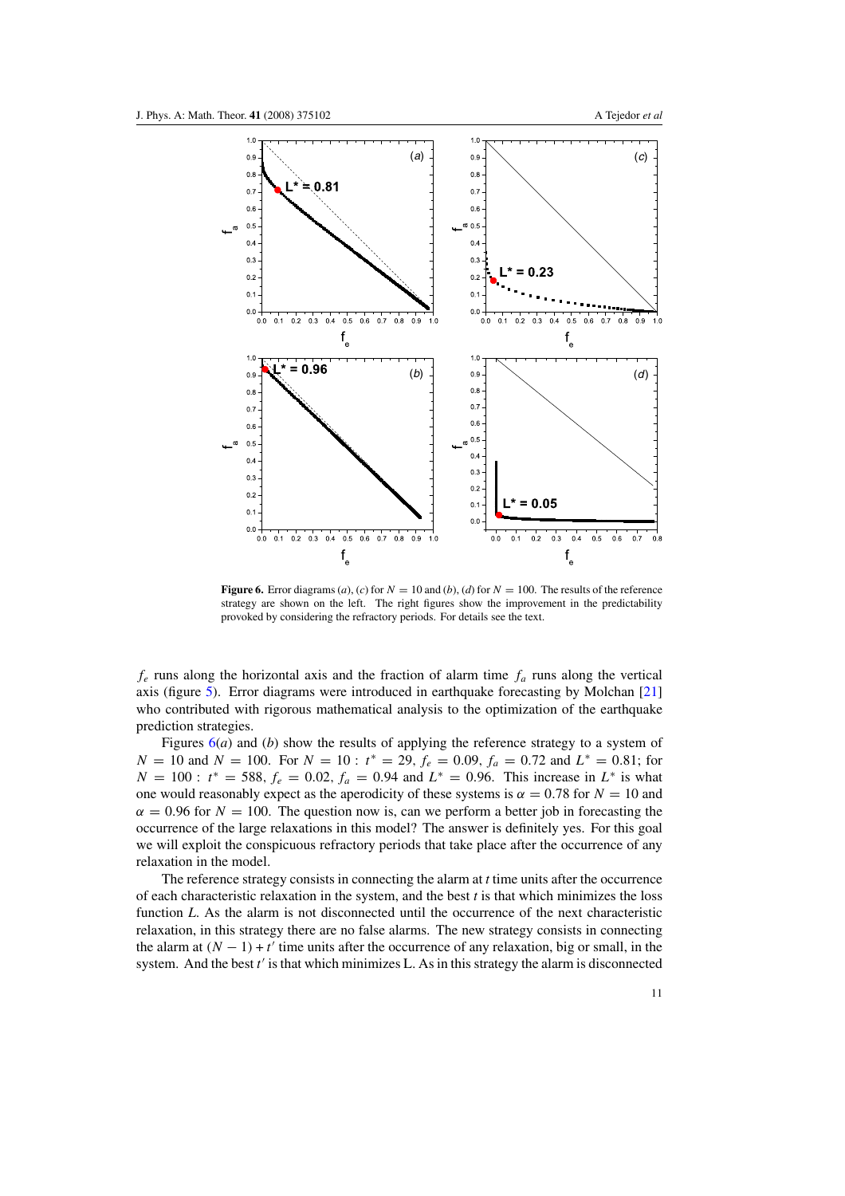<span id="page-11-0"></span>

**Figure 6.** Error diagrams (*a*), (*c*) for  $N = 10$  and (*b*), (*d*) for  $N = 100$ . The results of the reference strategy are shown on the left. The right figures show the improvement in the predictability provoked by considering the refractory periods. For details see the text.

 $f_e$  runs along the horizontal axis and the fraction of alarm time  $f_a$  runs along the vertical axis (figure [5\)](#page-10-0). Error diagrams were introduced in earthquake forecasting by Molchan [\[21](#page-16-0)] who contributed with rigorous mathematical analysis to the optimization of the earthquake prediction strategies.

Figures 6(*a*) and (*b*) show the results of applying the reference strategy to a system of *N* = 10 and *N* = 100. For  $N = 10$ :  $t^* = 29$ ,  $f_e = 0.09$ ,  $f_a = 0.72$  and  $L^* = 0.81$ ; for  $N = 100$ :  $t^* = 588$ ,  $f_e = 0.02$ ,  $f_a = 0.94$  and  $L^* = 0.96$ . This increase in  $L^*$  is what one would reasonably expect as the aperodicity of these systems is  $\alpha = 0.78$  for  $N = 10$  and  $\alpha = 0.96$  for  $N = 100$ . The question now is, can we perform a better job in forecasting the occurrence of the large relaxations in this model? The answer is definitely yes. For this goal we will exploit the conspicuous refractory periods that take place after the occurrence of any relaxation in the model.

The reference strategy consists in connecting the alarm at *t* time units after the occurrence of each characteristic relaxation in the system, and the best *t* is that which minimizes the loss function *L*. As the alarm is not disconnected until the occurrence of the next characteristic relaxation, in this strategy there are no false alarms. The new strategy consists in connecting the alarm at  $(N - 1) + t'$  time units after the occurrence of any relaxation, big or small, in the system. And the best *t* is that which minimizes L. As in this strategy the alarm is disconnected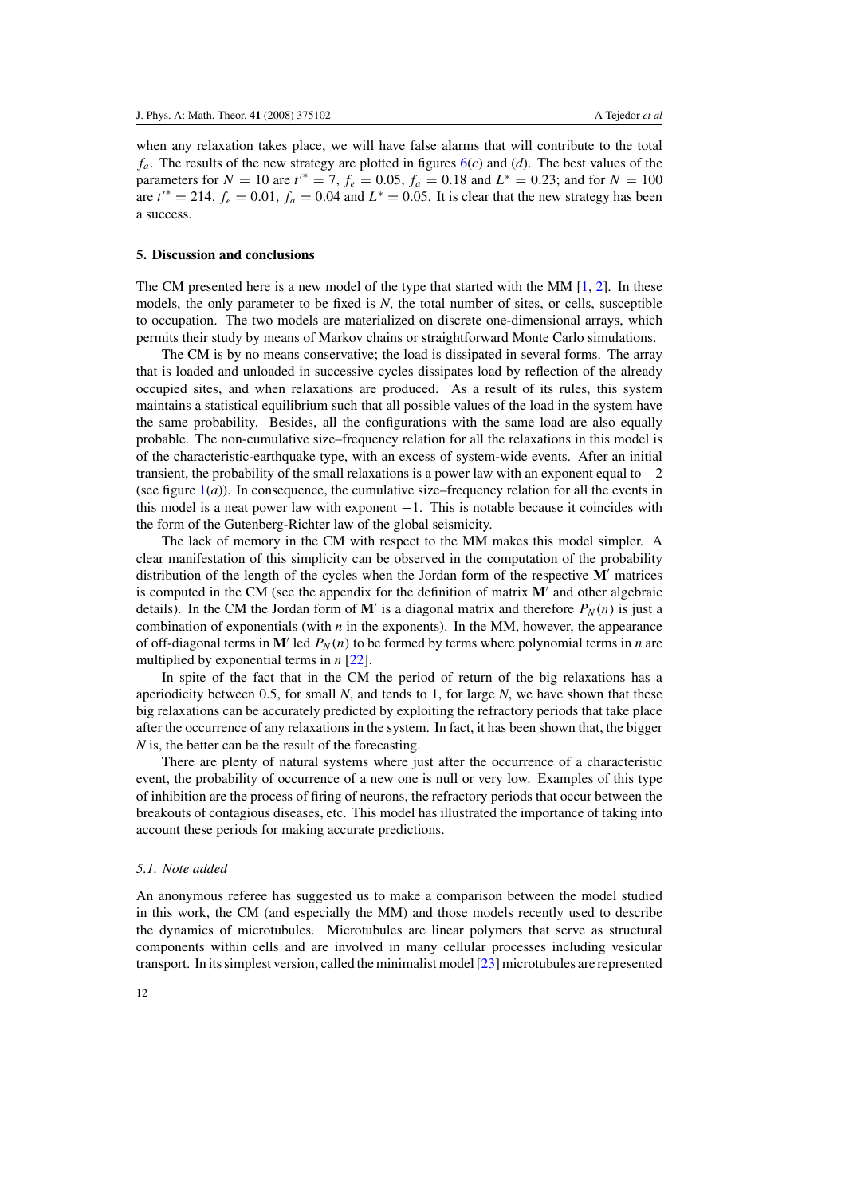<span id="page-12-0"></span>when any relaxation takes place, we will have false alarms that will contribute to the total  $f_a$ . The results of the new strategy are plotted in figures  $6(c)$  $6(c)$  and (*d*). The best values of the parameters for  $N = 10$  are  $t^* = 7$ ,  $f_e = 0.05$ ,  $f_a = 0.18$  and  $L^* = 0.23$ ; and for  $N = 100$ are  $t^* = 214$ ,  $f_e = 0.01$ ,  $f_a = 0.04$  and  $L^* = 0.05$ . It is clear that the new strategy has been a success.

#### **5. Discussion and conclusions**

The CM presented here is a new model of the type that started with the MM  $[1, 2]$  $[1, 2]$  $[1, 2]$ . In these models, the only parameter to be fixed is *N*, the total number of sites, or cells, susceptible to occupation. The two models are materialized on discrete one-dimensional arrays, which permits their study by means of Markov chains or straightforward Monte Carlo simulations.

The CM is by no means conservative; the load is dissipated in several forms. The array that is loaded and unloaded in successive cycles dissipates load by reflection of the already occupied sites, and when relaxations are produced. As a result of its rules, this system maintains a statistical equilibrium such that all possible values of the load in the system have the same probability. Besides, all the configurations with the same load are also equally probable. The non-cumulative size–frequency relation for all the relaxations in this model is of the characteristic-earthquake type, with an excess of system-wide events. After an initial transient, the probability of the small relaxations is a power law with an exponent equal to  $-2$ (see figure  $1(a)$  $1(a)$ ). In consequence, the cumulative size–frequency relation for all the events in this model is a neat power law with exponent  $-1$ . This is notable because it coincides with the form of the Gutenberg-Richter law of the global seismicity.

The lack of memory in the CM with respect to the MM makes this model simpler. A clear manifestation of this simplicity can be observed in the computation of the probability distribution of the length of the cycles when the Jordan form of the respective **M** matrices is computed in the CM (see the appendix for the definition of matrix  $M'$  and other algebraic details). In the CM the Jordan form of M' is a diagonal matrix and therefore  $P_N(n)$  is just a combination of exponentials (with  $n$  in the exponents). In the MM, however, the appearance of off-diagonal terms in  $M'$  led  $P_N(n)$  to be formed by terms where polynomial terms in *n* are multiplied by exponential terms in *n* [\[22](#page-16-0)].

In spite of the fact that in the CM the period of return of the big relaxations has a aperiodicity between 0.5, for small *N*, and tends to 1, for large *N*, we have shown that these big relaxations can be accurately predicted by exploiting the refractory periods that take place after the occurrence of any relaxations in the system. In fact, it has been shown that, the bigger *N* is, the better can be the result of the forecasting.

There are plenty of natural systems where just after the occurrence of a characteristic event, the probability of occurrence of a new one is null or very low. Examples of this type of inhibition are the process of firing of neurons, the refractory periods that occur between the breakouts of contagious diseases, etc. This model has illustrated the importance of taking into account these periods for making accurate predictions.

#### *5.1. Note added*

An anonymous referee has suggested us to make a comparison between the model studied in this work, the CM (and especially the MM) and those models recently used to describe the dynamics of microtubules. Microtubules are linear polymers that serve as structural components within cells and are involved in many cellular processes including vesicular transport. In its simplest version, called the minimalist model [\[23\]](#page-16-0) microtubules are represented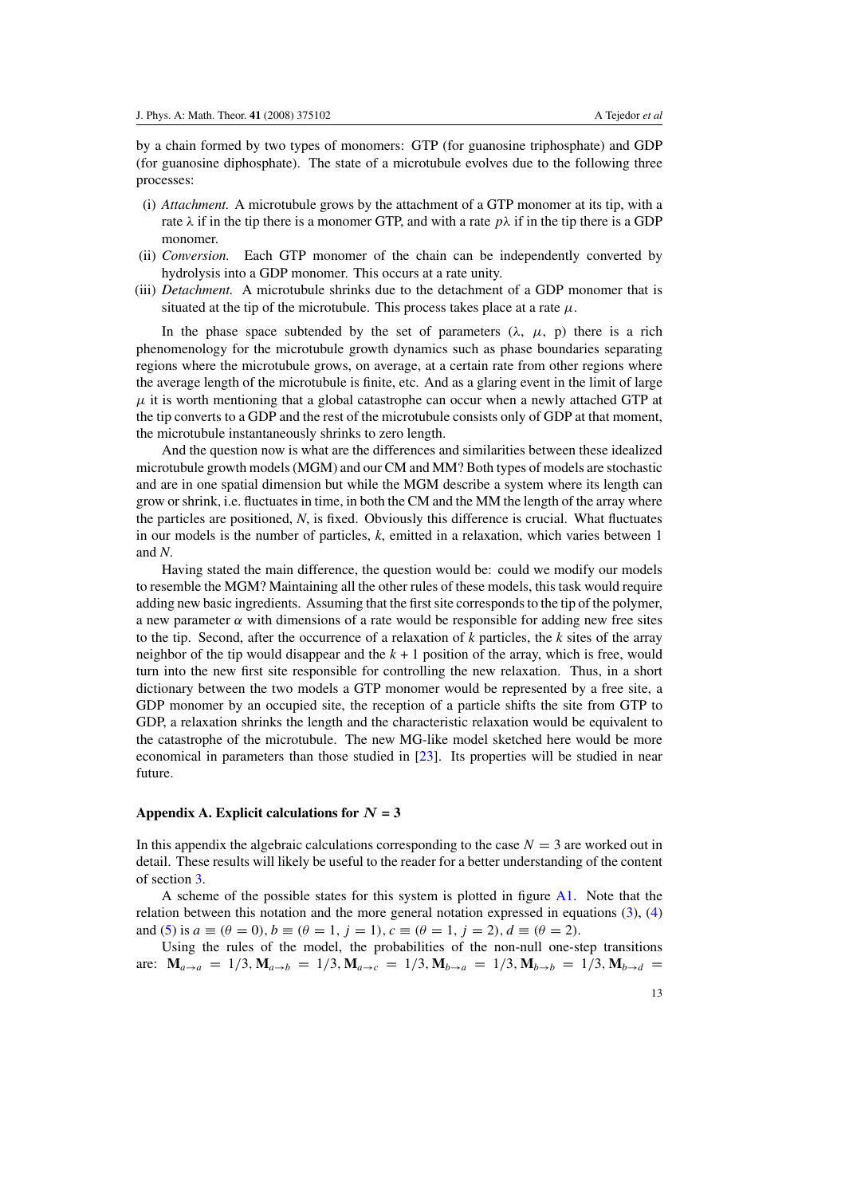by a chain formed by two types of monomers: GTP (for guanosine triphosphate) and GDP (for guanosine diphosphate). The state of a microtubule evolves due to the following three processes:

- (i) *Attachment.* A microtubule grows by the attachment of a GTP monomer at its tip, with a rate  $\lambda$  if in the tip there is a monomer GTP, and with a rate  $p\lambda$  if in the tip there is a GDP monomer.
- (ii) *Conversion.* Each GTP monomer of the chain can be independently converted by hydrolysis into a GDP monomer. This occurs at a rate unity.
- (iii) *Detachment.* A microtubule shrinks due to the detachment of a GDP monomer that is situated at the tip of the microtubule. This process takes place at a rate  $\mu$ .

In the phase space subtended by the set of parameters  $(\lambda, \mu, p)$  there is a rich phenomenology for the microtubule growth dynamics such as phase boundaries separating regions where the microtubule grows, on average, at a certain rate from other regions where the average length of the microtubule is finite, etc. And as a glaring event in the limit of large  $\mu$  it is worth mentioning that a global catastrophe can occur when a newly attached GTP at the tip converts to a GDP and the rest of the microtubule consists only of GDP at that moment, the microtubule instantaneously shrinks to zero length.

And the question now is what are the differences and similarities between these idealized microtubule growth models (MGM) and our CM and MM? Both types of models are stochastic and are in one spatial dimension but while the MGM describe a system where its length can grow or shrink, i.e. fluctuates in time, in both the CM and the MM the length of the array where the particles are positioned, *N*, is fixed. Obviously this difference is crucial. What fluctuates in our models is the number of particles, *k*, emitted in a relaxation, which varies between 1 and *N*.

Having stated the main difference, the question would be: could we modify our models to resemble the MGM? Maintaining all the other rules of these models, this task would require adding new basic ingredients. Assuming that the first site corresponds to the tip of the polymer, a new parameter  $\alpha$  with dimensions of a rate would be responsible for adding new free sites to the tip. Second, after the occurrence of a relaxation of *k* particles, the *k* sites of the array neighbor of the tip would disappear and the *k* + 1 position of the array, which is free, would turn into the new first site responsible for controlling the new relaxation. Thus, in a short dictionary between the two models a GTP monomer would be represented by a free site, a GDP monomer by an occupied site, the reception of a particle shifts the site from GTP to GDP, a relaxation shrinks the length and the characteristic relaxation would be equivalent to the catastrophe of the microtubule. The new MG-like model sketched here would be more economical in parameters than those studied in [\[23](#page-16-0)]. Its properties will be studied in near future.

#### Appendix A. Explicit calculations for  $N = 3$

In this appendix the algebraic calculations corresponding to the case  $N = 3$  are worked out in detail. These results will likely be useful to the reader for a better understanding of the content of section [3.](#page-5-0)

A scheme of the possible states for this system is plotted in figure [A1.](#page-14-0) Note that the relation between this notation and the more general notation expressed in equations  $(3)$ ,  $(4)$ and [\(5\)](#page-5-0) is  $a \equiv (\theta = 0), b \equiv (\theta = 1, j = 1), c \equiv (\theta = 1, j = 2), d \equiv (\theta = 2)$ .

Using the rules of the model, the probabilities of the non-null one-step transitions are:  $M_{a\to a} = 1/3$ ,  $M_{a\to b} = 1/3$ ,  $M_{a\to c} = 1/3$ ,  $M_{b\to a} = 1/3$ ,  $M_{b\to b} = 1/3$ ,  $M_{b\to d} =$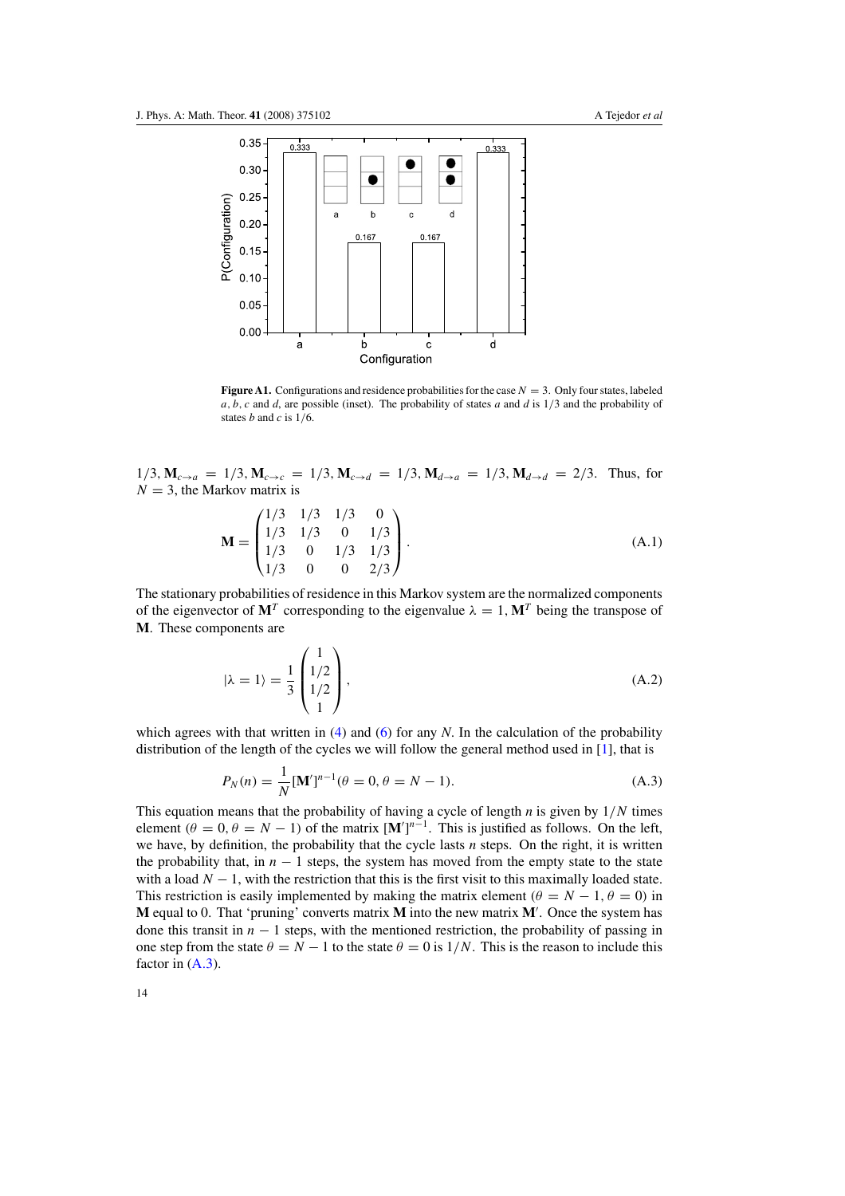<span id="page-14-0"></span>

**Figure A1.** Configurations and residence probabilities for the case  $N = 3$ . Only four states, labeled *a,b,c* and *d*, are possible (inset). The probability of states *a* and *d* is 1*/*3 and the probability of states *b* and *c* is 1*/*6.

 $1/3$ ,  $M_{c\rightarrow a} = 1/3$ ,  $M_{c\rightarrow c} = 1/3$ ,  $M_{c\rightarrow d} = 1/3$ ,  $M_{d\rightarrow a} = 1/3$ ,  $M_{d\rightarrow d} = 2/3$ . Thus, for  $N = 3$ , the Markov matrix is

$$
\mathbf{M} = \begin{pmatrix} 1/3 & 1/3 & 1/3 & 0 \\ 1/3 & 1/3 & 0 & 1/3 \\ 1/3 & 0 & 1/3 & 1/3 \\ 1/3 & 0 & 0 & 2/3 \end{pmatrix} .
$$
 (A.1)

The stationary probabilities of residence in this Markov system are the normalized components of the eigenvector of  $M^T$  corresponding to the eigenvalue  $\lambda = 1$ ,  $M^T$  being the transpose of **M**. These components are

$$
|\lambda = 1\rangle = \frac{1}{3} \begin{pmatrix} 1 \\ 1/2 \\ 1/2 \\ 1 \end{pmatrix},
$$
 (A.2)

which agrees with that written in [\(4\)](#page-5-0) and [\(6\)](#page-5-0) for any *N*. In the calculation of the probability distribution of the length of the cycles we will follow the general method used in [\[1](#page-16-0)], that is

$$
P_N(n) = \frac{1}{N} [\mathbf{M}']^{n-1} (\theta = 0, \theta = N - 1).
$$
 (A.3)

This equation means that the probability of having a cycle of length *n* is given by 1*/N* times element  $(\theta = 0, \theta = N - 1)$  of the matrix  $[M']^{n-1}$ . This is justified as follows. On the left, we have, by definition, the probability that the cycle lasts *n* steps. On the right, it is written the probability that, in  $n - 1$  steps, the system has moved from the empty state to the state with a load  $N - 1$ , with the restriction that this is the first visit to this maximally loaded state. This restriction is easily implemented by making the matrix element  $(\theta = N - 1, \theta = 0)$  in **M** equal to 0. That 'pruning' converts matrix **M** into the new matrix **M** . Once the system has done this transit in  $n - 1$  steps, with the mentioned restriction, the probability of passing in one step from the state  $\theta = N - 1$  to the state  $\theta = 0$  is  $1/N$ . This is the reason to include this factor in  $(A.3)$ .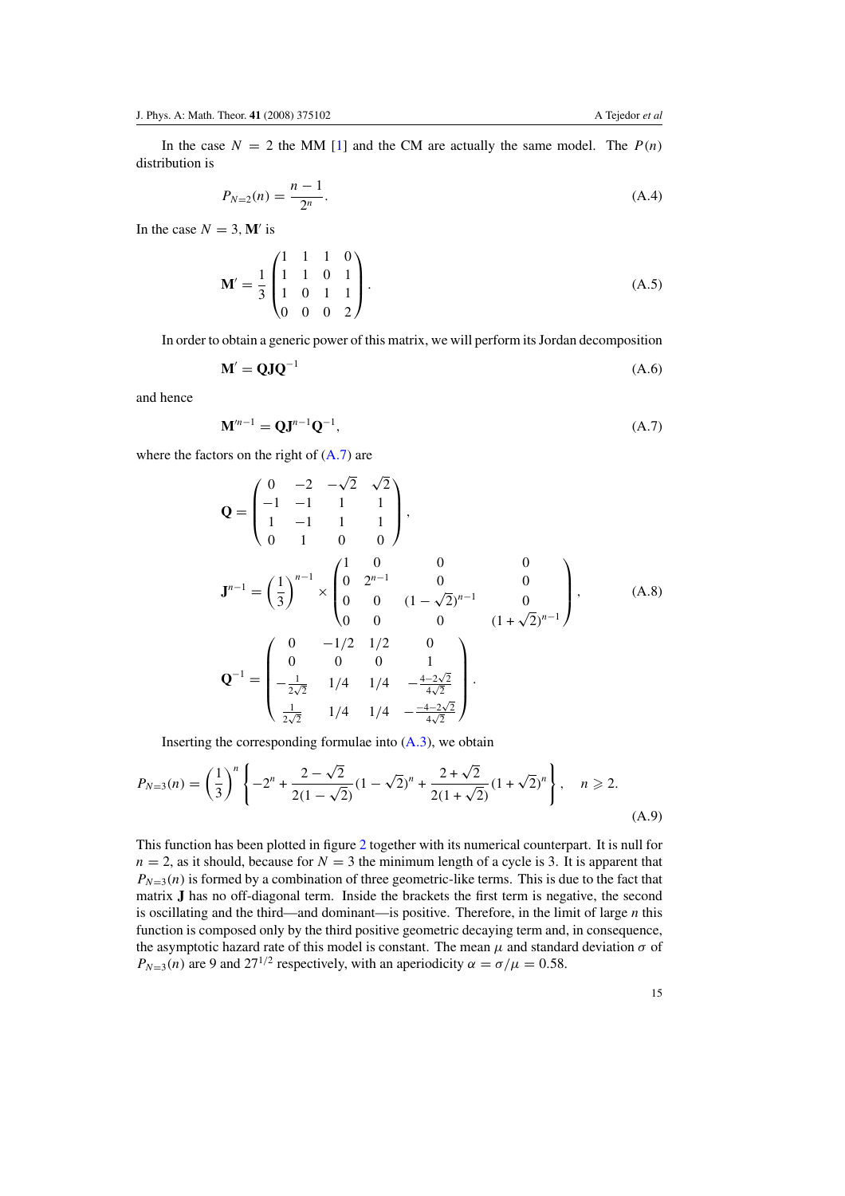In the case  $N = 2$  the MM [\[1](#page-16-0)] and the CM are actually the same model. The  $P(n)$ distribution is

$$
P_{N=2}(n) = \frac{n-1}{2^n}.
$$
\n(A.4)

In the case  $N = 3$ , **M**' is

$$
\mathbf{M}' = \frac{1}{3} \begin{pmatrix} 1 & 1 & 1 & 0 \\ 1 & 1 & 0 & 1 \\ 1 & 0 & 1 & 1 \\ 0 & 0 & 0 & 2 \end{pmatrix} .
$$
 (A.5)

In order to obtain a generic power of this matrix, we will perform its Jordan decomposition

$$
\mathbf{M}' = \mathbf{Q}\mathbf{J}\mathbf{Q}^{-1} \tag{A.6}
$$

and hence

$$
\mathbf{M}^{n-1} = \mathbf{Q}\mathbf{J}^{n-1}\mathbf{Q}^{-1},\tag{A.7}
$$

where the factors on the right of (A*.*7) are

$$
\mathbf{Q} = \begin{pmatrix}\n0 & -2 & -\sqrt{2} & \sqrt{2} \\
-1 & -1 & 1 & 1 \\
1 & -1 & 1 & 1 \\
0 & 1 & 0 & 0\n\end{pmatrix},
$$
\n
$$
\mathbf{J}^{n-1} = \left(\frac{1}{3}\right)^{n-1} \times \begin{pmatrix}\n1 & 0 & 0 & 0 \\
0 & 2^{n-1} & 0 & 0 \\
0 & 0 & (1 - \sqrt{2})^{n-1} & 0 \\
0 & 0 & 0 & (1 + \sqrt{2})^{n-1}\n\end{pmatrix},
$$
\n(A.8)\n
$$
\mathbf{Q}^{-1} = \begin{pmatrix}\n0 & -1/2 & 1/2 & 0 \\
0 & 0 & 0 & 1 \\
-\frac{1}{2\sqrt{2}} & 1/4 & 1/4 & -\frac{4-2\sqrt{2}}{4\sqrt{2}} \\
\frac{1}{2\sqrt{2}} & 1/4 & 1/4 & -\frac{-4-2\sqrt{2}}{4\sqrt{2}}\n\end{pmatrix}.
$$

Inserting the corresponding formulae into [\(A](#page-14-0)*.*3), we obtain

$$
P_{N=3}(n) = \left(\frac{1}{3}\right)^n \left\{-2^n + \frac{2-\sqrt{2}}{2(1-\sqrt{2})}(1-\sqrt{2})^n + \frac{2+\sqrt{2}}{2(1+\sqrt{2})}(1+\sqrt{2})^n\right\}, \quad n \ge 2.
$$
\n(A.9)

This function has been plotted in figure [2](#page-5-0) together with its numerical counterpart. It is null for  $n = 2$ , as it should, because for  $N = 3$  the minimum length of a cycle is 3. It is apparent that  $P_{N=3}(n)$  is formed by a combination of three geometric-like terms. This is due to the fact that matrix **J** has no off-diagonal term. Inside the brackets the first term is negative, the second is oscillating and the third—and dominant—is positive. Therefore, in the limit of large *n* this function is composed only by the third positive geometric decaying term and, in consequence, the asymptotic hazard rate of this model is constant. The mean  $\mu$  and standard deviation  $\sigma$  of  $P_{N=3}(n)$  are 9 and 27<sup>1/2</sup> respectively, with an aperiodicity  $\alpha = \sigma/\mu = 0.58$ .